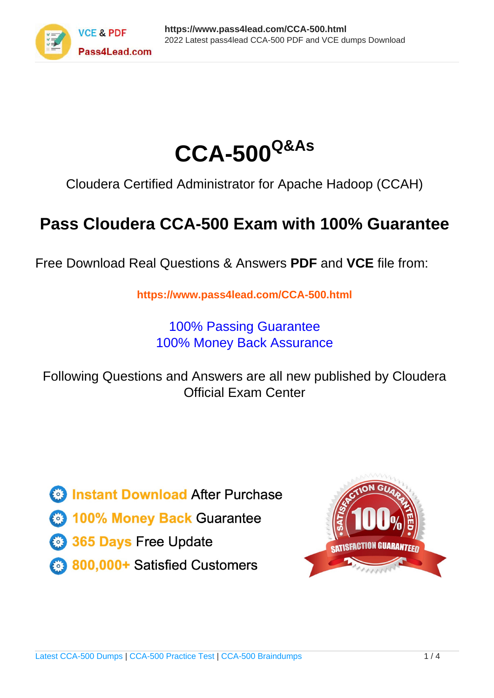



Cloudera Certified Administrator for Apache Hadoop (CCAH)

# **Pass Cloudera CCA-500 Exam with 100% Guarantee**

Free Download Real Questions & Answers **PDF** and **VCE** file from:

**https://www.pass4lead.com/CCA-500.html**

100% Passing Guarantee 100% Money Back Assurance

Following Questions and Answers are all new published by Cloudera Official Exam Center

**C** Instant Download After Purchase

**83 100% Money Back Guarantee** 

- 365 Days Free Update
- 800,000+ Satisfied Customers

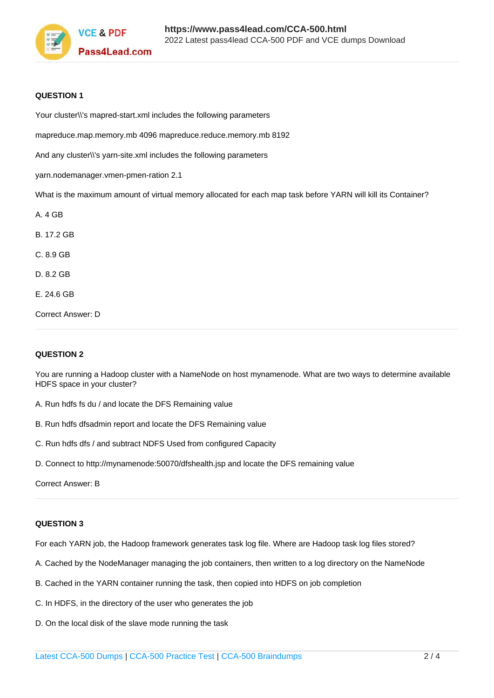

### **QUESTION 1**

Your cluster\\'s mapred-start.xml includes the following parameters

mapreduce.map.memory.mb 4096 mapreduce.reduce.memory.mb 8192

And any cluster\\'s yarn-site.xml includes the following parameters

yarn.nodemanager.vmen-pmen-ration 2.1

What is the maximum amount of virtual memory allocated for each map task before YARN will kill its Container?

A. 4 GB B. 17.2 GB C. 8.9 GB D. 8.2 GB E. 24.6 GB Correct Answer: D

### **QUESTION 2**

You are running a Hadoop cluster with a NameNode on host mynamenode. What are two ways to determine available HDFS space in your cluster?

- A. Run hdfs fs du / and locate the DFS Remaining value
- B. Run hdfs dfsadmin report and locate the DFS Remaining value
- C. Run hdfs dfs / and subtract NDFS Used from configured Capacity
- D. Connect to http://mynamenode:50070/dfshealth.jsp and locate the DFS remaining value

Correct Answer: B

### **QUESTION 3**

For each YARN job, the Hadoop framework generates task log file. Where are Hadoop task log files stored?

- A. Cached by the NodeManager managing the job containers, then written to a log directory on the NameNode
- B. Cached in the YARN container running the task, then copied into HDFS on job completion
- C. In HDFS, in the directory of the user who generates the job
- D. On the local disk of the slave mode running the task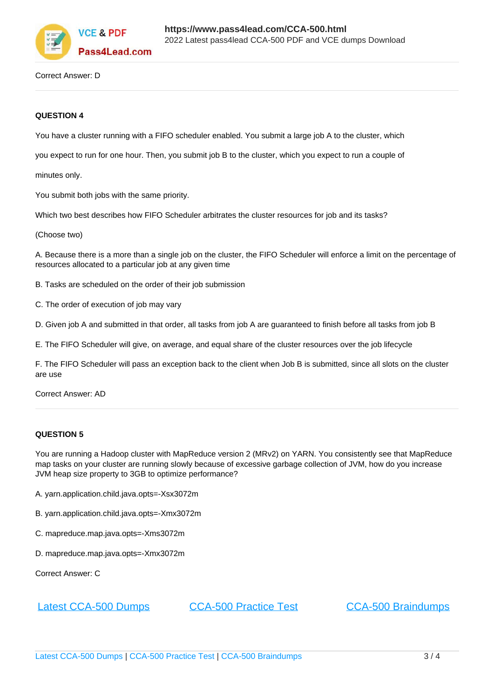

Correct Answer: D

### **QUESTION 4**

You have a cluster running with a FIFO scheduler enabled. You submit a large job A to the cluster, which

you expect to run for one hour. Then, you submit job B to the cluster, which you expect to run a couple of

minutes only.

You submit both jobs with the same priority.

Which two best describes how FIFO Scheduler arbitrates the cluster resources for job and its tasks?

(Choose two)

A. Because there is a more than a single job on the cluster, the FIFO Scheduler will enforce a limit on the percentage of resources allocated to a particular job at any given time

B. Tasks are scheduled on the order of their job submission

C. The order of execution of job may vary

D. Given job A and submitted in that order, all tasks from job A are guaranteed to finish before all tasks from job B

E. The FIFO Scheduler will give, on average, and equal share of the cluster resources over the job lifecycle

F. The FIFO Scheduler will pass an exception back to the client when Job B is submitted, since all slots on the cluster are use

Correct Answer: AD

### **QUESTION 5**

You are running a Hadoop cluster with MapReduce version 2 (MRv2) on YARN. You consistently see that MapReduce map tasks on your cluster are running slowly because of excessive garbage collection of JVM, how do you increase JVM heap size property to 3GB to optimize performance?

- A. yarn.application.child.java.opts=-Xsx3072m
- B. yarn.application.child.java.opts=-Xmx3072m
- C. mapreduce.map.java.opts=-Xms3072m
- D. mapreduce.map.java.opts=-Xmx3072m

Correct Answer: C

[Latest CCA-500 Dumps](https://www.pass4lead.com/CCA-500.html) [CCA-500 Practice Test](https://www.pass4lead.com/CCA-500.html) [CCA-500 Braindumps](https://www.pass4lead.com/CCA-500.html)